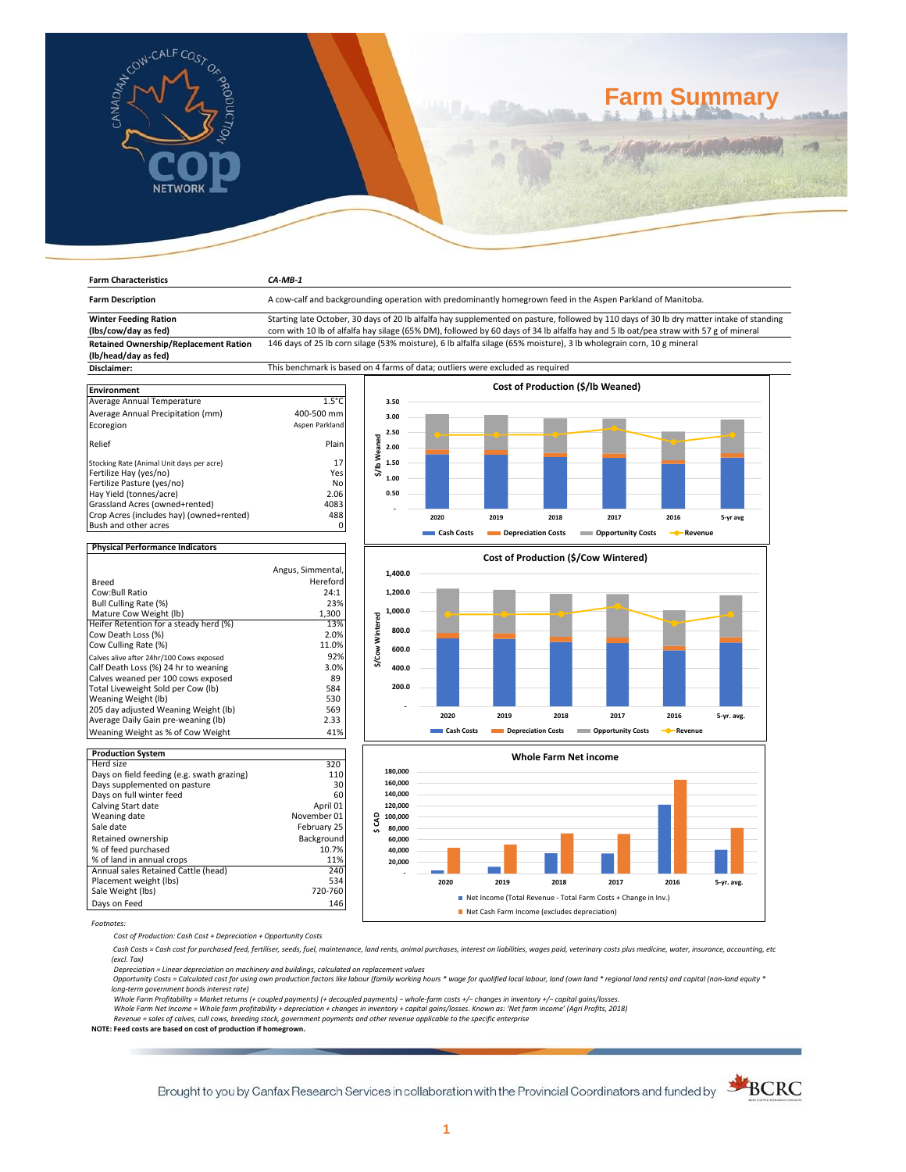

**Farm Characteristics** *CA-MB-1*

# **Farm Summary**

| <b>Farm Description</b>                                              | A cow-calf and backgrounding operation with predominantly homegrown feed in the Aspen Parkland of Manitoba.                                                                                                                                                                      |                                      |            |                                          |                                                                |                         |            |  |  |  |
|----------------------------------------------------------------------|----------------------------------------------------------------------------------------------------------------------------------------------------------------------------------------------------------------------------------------------------------------------------------|--------------------------------------|------------|------------------------------------------|----------------------------------------------------------------|-------------------------|------------|--|--|--|
| <b>Winter Feeding Ration</b><br>(lbs/cow/day as fed)                 | Starting late October, 30 days of 20 lb alfalfa hay supplemented on pasture, followed by 110 days of 30 lb dry matter intake of standing<br>corn with 10 lb of alfalfa hay silage (65% DM), followed by 60 days of 34 lb alfalfa hay and 5 lb oat/pea straw with 57 g of mineral |                                      |            |                                          |                                                                |                         |            |  |  |  |
| <b>Retained Ownership/Replacement Ration</b><br>(lb/head/day as fed) | 146 days of 25 lb corn silage (53% moisture), 6 lb alfalfa silage (65% moisture), 3 lb wholegrain corn, 10 g mineral                                                                                                                                                             |                                      |            |                                          |                                                                |                         |            |  |  |  |
| Disclaimer:                                                          | This benchmark is based on 4 farms of data; outliers were excluded as required                                                                                                                                                                                                   |                                      |            |                                          |                                                                |                         |            |  |  |  |
|                                                                      |                                                                                                                                                                                                                                                                                  |                                      |            |                                          |                                                                |                         |            |  |  |  |
| <b>Environment</b>                                                   |                                                                                                                                                                                                                                                                                  |                                      |            | <b>Cost of Production (\$/lb Weaned)</b> |                                                                |                         |            |  |  |  |
| Average Annual Temperature                                           | $1.5^{\circ}$ C                                                                                                                                                                                                                                                                  | 3.50                                 |            |                                          |                                                                |                         |            |  |  |  |
| Average Annual Precipitation (mm)                                    | 400-500 mm                                                                                                                                                                                                                                                                       | 3.00                                 |            |                                          |                                                                |                         |            |  |  |  |
| Ecoregion                                                            | Aspen Parkland                                                                                                                                                                                                                                                                   |                                      |            |                                          |                                                                |                         |            |  |  |  |
|                                                                      |                                                                                                                                                                                                                                                                                  | 2.50                                 |            |                                          |                                                                |                         |            |  |  |  |
| Relief                                                               | Plain                                                                                                                                                                                                                                                                            | \$/lb Weaned<br>2.00                 |            |                                          |                                                                |                         |            |  |  |  |
| Stocking Rate (Animal Unit days per acre)                            | 17                                                                                                                                                                                                                                                                               | 1.50                                 |            |                                          |                                                                |                         |            |  |  |  |
| Fertilize Hay (yes/no)                                               | Yes                                                                                                                                                                                                                                                                              | 1.00                                 |            |                                          |                                                                |                         |            |  |  |  |
| Fertilize Pasture (yes/no)                                           | No                                                                                                                                                                                                                                                                               |                                      |            |                                          |                                                                |                         |            |  |  |  |
| Hay Yield (tonnes/acre)                                              | 2.06                                                                                                                                                                                                                                                                             | 0.50                                 |            |                                          |                                                                |                         |            |  |  |  |
| Grassland Acres (owned+rented)                                       | 4083                                                                                                                                                                                                                                                                             |                                      |            |                                          |                                                                |                         |            |  |  |  |
| Crop Acres (includes hay) (owned+rented)                             | 488                                                                                                                                                                                                                                                                              |                                      | 2020       | 2019<br>2018                             | 2017                                                           | 2016                    | 5-yr avg   |  |  |  |
| Bush and other acres                                                 | $\mathbf 0$                                                                                                                                                                                                                                                                      |                                      | Cash Costs | <b>Depreciation Costs</b>                | <b>Opportunity Costs</b>                                       | - <sup></sup> -Revenue  |            |  |  |  |
| <b>Physical Performance Indicators</b>                               |                                                                                                                                                                                                                                                                                  |                                      |            |                                          |                                                                |                         |            |  |  |  |
|                                                                      |                                                                                                                                                                                                                                                                                  | Cost of Production (\$/Cow Wintered) |            |                                          |                                                                |                         |            |  |  |  |
|                                                                      | Angus, Simmental,                                                                                                                                                                                                                                                                | 1,400.0                              |            |                                          |                                                                |                         |            |  |  |  |
| <b>Breed</b>                                                         | Hereford                                                                                                                                                                                                                                                                         |                                      |            |                                          |                                                                |                         |            |  |  |  |
| Cow:Bull Ratio                                                       | 24:1                                                                                                                                                                                                                                                                             | 1,200.0                              |            |                                          |                                                                |                         |            |  |  |  |
| Bull Culling Rate (%)                                                | 23%                                                                                                                                                                                                                                                                              | 1,000.0                              |            |                                          |                                                                |                         |            |  |  |  |
| Mature Cow Weight (lb)<br>Heifer Retention for a steady herd (%)     | 1,300<br>13%                                                                                                                                                                                                                                                                     | \$/Cow Wintered                      |            |                                          |                                                                |                         |            |  |  |  |
| Cow Death Loss (%)                                                   | 2.0%                                                                                                                                                                                                                                                                             | 800.0                                |            |                                          |                                                                |                         |            |  |  |  |
| Cow Culling Rate (%)                                                 | 11.0%                                                                                                                                                                                                                                                                            |                                      |            |                                          |                                                                |                         |            |  |  |  |
| Calves alive after 24hr/100 Cows exposed                             | 92%                                                                                                                                                                                                                                                                              | 600.0                                |            |                                          |                                                                |                         |            |  |  |  |
| Calf Death Loss (%) 24 hr to weaning                                 | 3.0%                                                                                                                                                                                                                                                                             | 400.0                                |            |                                          |                                                                |                         |            |  |  |  |
| Calves weaned per 100 cows exposed                                   | 89                                                                                                                                                                                                                                                                               |                                      |            |                                          |                                                                |                         |            |  |  |  |
| Total Liveweight Sold per Cow (lb)                                   | 584                                                                                                                                                                                                                                                                              | 200.0                                |            |                                          |                                                                |                         |            |  |  |  |
| Weaning Weight (lb)                                                  | 530                                                                                                                                                                                                                                                                              |                                      |            |                                          |                                                                |                         |            |  |  |  |
| 205 day adjusted Weaning Weight (lb)                                 | 569                                                                                                                                                                                                                                                                              |                                      |            |                                          |                                                                |                         |            |  |  |  |
| Average Daily Gain pre-weaning (lb)                                  | 2.33                                                                                                                                                                                                                                                                             |                                      | 2020       | 2019<br>2018                             | 2017                                                           | 2016                    | 5-yr. avg. |  |  |  |
| Weaning Weight as % of Cow Weight                                    | 41%                                                                                                                                                                                                                                                                              |                                      | Cash Costs | Depreciation Costs                       | <b>COPPORTUGITY COSTS</b>                                      | - <sup>0</sup> -Revenue |            |  |  |  |
| <b>Production System</b>                                             |                                                                                                                                                                                                                                                                                  |                                      |            | <b>Whole Farm Net income</b>             |                                                                |                         |            |  |  |  |
| Herd size                                                            | 320                                                                                                                                                                                                                                                                              |                                      |            |                                          |                                                                |                         |            |  |  |  |
| Days on field feeding (e.g. swath grazing)                           | 110                                                                                                                                                                                                                                                                              | 180,000                              |            |                                          |                                                                |                         |            |  |  |  |
| Days supplemented on pasture                                         | 30                                                                                                                                                                                                                                                                               | 160,000                              |            |                                          |                                                                |                         |            |  |  |  |
| Days on full winter feed                                             | 60                                                                                                                                                                                                                                                                               | 140,000                              |            |                                          |                                                                |                         |            |  |  |  |
| Calving Start date                                                   | April 01                                                                                                                                                                                                                                                                         | 120,000                              |            |                                          |                                                                |                         |            |  |  |  |
| Weaning date                                                         | November 01                                                                                                                                                                                                                                                                      | 100,000                              |            |                                          |                                                                |                         |            |  |  |  |
| Sale date                                                            | February 25                                                                                                                                                                                                                                                                      | \$CAD<br>80,000                      |            |                                          |                                                                |                         |            |  |  |  |
| Retained ownership                                                   | Background                                                                                                                                                                                                                                                                       | 60,000                               |            |                                          |                                                                |                         |            |  |  |  |
| % of feed purchased                                                  | 10.7%                                                                                                                                                                                                                                                                            | 40,000                               |            |                                          |                                                                |                         |            |  |  |  |
| % of land in annual crops                                            | 11%                                                                                                                                                                                                                                                                              | 20,000                               |            |                                          |                                                                |                         |            |  |  |  |
| Annual sales Retained Cattle (head)                                  | 240                                                                                                                                                                                                                                                                              |                                      |            |                                          |                                                                |                         |            |  |  |  |
| Placement weight (lbs)                                               | 534                                                                                                                                                                                                                                                                              |                                      | 2020       | 2019<br>2018                             | 2017                                                           | 2016                    | 5-yr. avg. |  |  |  |
| Sale Weight (lbs)                                                    | 720-760                                                                                                                                                                                                                                                                          |                                      |            |                                          | Net Income (Total Revenue - Total Farm Costs + Change in Inv.) |                         |            |  |  |  |
| Days on Feed                                                         | 146                                                                                                                                                                                                                                                                              |                                      |            |                                          |                                                                |                         |            |  |  |  |

Days on Feed *Footnotes:*

*Cost of Production: Cash Cost + Depreciation + Opportunity Costs*

 *Cash Costs = Cash cost for purchased feed, fertiliser, seeds, fuel, maintenance, land rents, animal purchases, interest on liabilities, wages paid, veterinary costs plus medicine, water, insurance, accounting, etc (excl. Tax)* 

Net Cash Farm Income (excludes depreciation)

*Depreciation = Linear depreciation on machinery and buildings, calculated on replacement values*

 *Opportunity Costs = Calculated cost for using own production factors like labour (family working hours \* wage for qualified local labour, land (own land \* regional land rents) and capital (non-land equity \* long-term government bonds interest rate)* 

*Whole Farm Profitability = Market returns (+ coupled payments) (+ decoupled payments) − whole-farm costs +/− changes in inventory +/− capital gains/losses.*

Whole Farm Net Income = Whole farm profitability + depreciation + changes in inventory + capital gains/losses. Known as: 'Net farm income' (Agri Profits, 2018)<br>Revenue = sales of calves, cull cows, breeding stock, governme

**NOTE: Feed costs are based on cost of production if homegrown.**

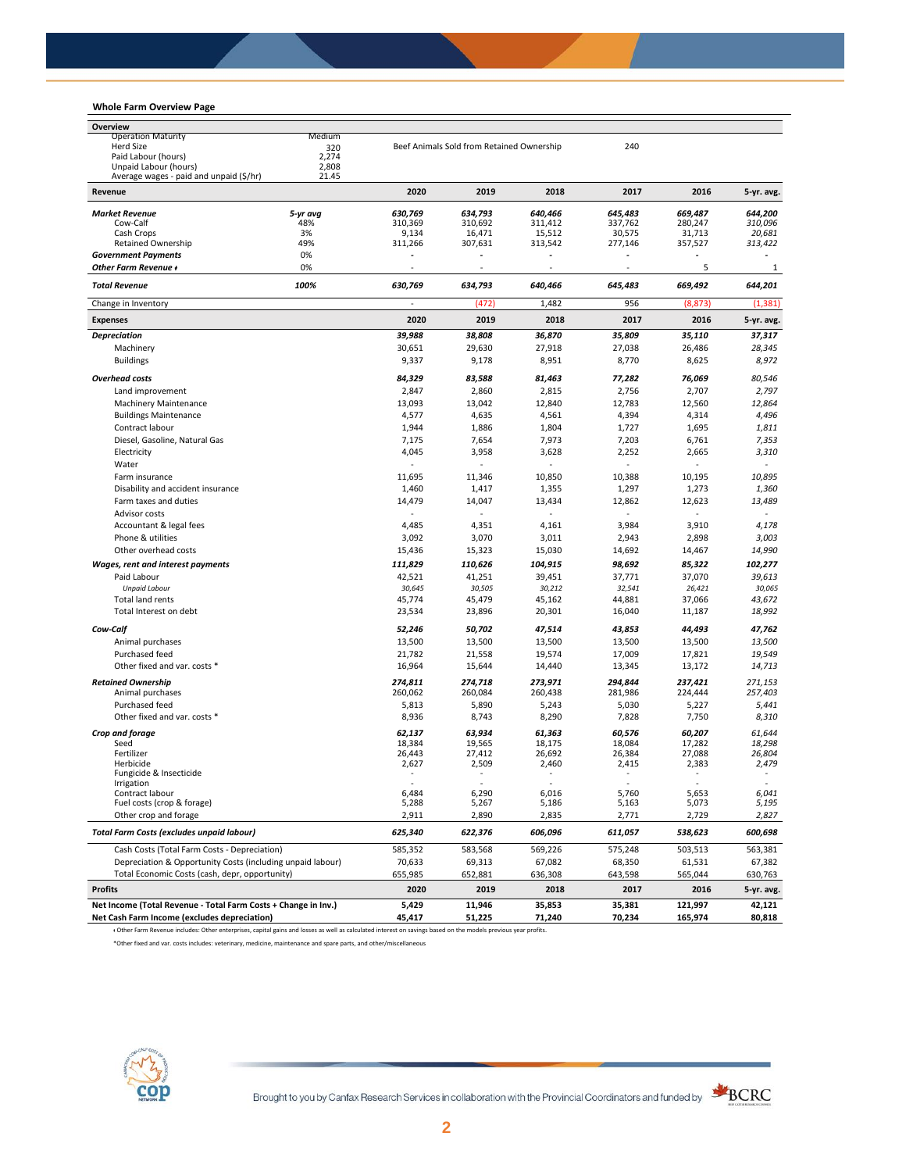## **Whole Farm Overview Page**

| Overview                                                       |                |                 |                                           |                 |                 |                 |                 |
|----------------------------------------------------------------|----------------|-----------------|-------------------------------------------|-----------------|-----------------|-----------------|-----------------|
| <b>Operation Maturity</b>                                      | Medium         |                 |                                           |                 |                 |                 |                 |
| <b>Herd Size</b>                                               | 320            |                 | Beef Animals Sold from Retained Ownership |                 | 240             |                 |                 |
| Paid Labour (hours)<br>Unpaid Labour (hours)                   | 2,274<br>2,808 |                 |                                           |                 |                 |                 |                 |
| Average wages - paid and unpaid (\$/hr)                        | 21.45          |                 |                                           |                 |                 |                 |                 |
| Revenue                                                        |                | 2020            | 2019                                      | 2018            | 2017            | 2016            | 5-yr. avg.      |
| <b>Market Revenue</b>                                          | 5-yr avg       | 630.769         | 634,793                                   | 640,466         | 645,483         | 669,487         | 644,200         |
| Cow-Calf                                                       | 48%            | 310,369         | 310,692                                   | 311,412         | 337,762         | 280,247         | 310,096         |
| Cash Crops                                                     | 3%             | 9,134           | 16,471                                    | 15,512          | 30,575          | 31,713          | 20,681          |
| <b>Retained Ownership</b>                                      | 49%            | 311,266         | 307,631                                   | 313,542         | 277,146         | 357,527         | 313,422         |
| <b>Government Payments</b>                                     | 0%             |                 |                                           |                 |                 |                 |                 |
| Other Farm Revenue +                                           | 0%             |                 |                                           |                 |                 | 5               | 1               |
| <b>Total Revenue</b>                                           | 100%           | 630,769         | 634,793                                   | 640,466         | 645,483         | 669,492         | 644,201         |
| Change in Inventory                                            |                |                 | (472)                                     | 1,482           | 956             | (8, 873)        | (1, 381)        |
| <b>Expenses</b>                                                |                | 2020            | 2019                                      | 2018            | 2017            | 2016            | 5-yr. avg.      |
| <b>Depreciation</b>                                            |                | 39,988          | 38,808                                    | 36,870          | 35,809          | 35,110          | 37,317          |
| Machinery                                                      |                | 30,651          | 29,630                                    | 27,918          | 27,038          | 26,486          | 28,345          |
| <b>Buildings</b>                                               |                | 9,337           | 9,178                                     | 8,951           | 8,770           | 8,625           | 8,972           |
| <b>Overhead costs</b>                                          |                | 84,329          | 83,588                                    | 81,463          | 77,282          | 76,069          | 80,546          |
| Land improvement                                               |                | 2,847           | 2,860                                     | 2,815           | 2,756           | 2,707           | 2,797           |
| <b>Machinery Maintenance</b>                                   |                | 13,093          | 13,042                                    | 12,840          | 12,783          | 12,560          | 12,864          |
| <b>Buildings Maintenance</b>                                   |                | 4,577           | 4,635                                     | 4,561           | 4,394           | 4,314           | 4,496           |
| Contract labour                                                |                | 1,944           | 1,886                                     | 1,804           | 1,727           | 1,695           | 1,811           |
| Diesel, Gasoline, Natural Gas                                  |                | 7,175           | 7,654                                     | 7,973           | 7,203           | 6,761           | 7,353           |
| Electricity                                                    |                | 4,045           | 3,958                                     | 3,628           | 2,252           | 2,665           | 3,310           |
| Water                                                          |                |                 |                                           |                 |                 |                 |                 |
| Farm insurance                                                 |                | 11,695          | 11,346                                    | 10,850          | 10,388          | 10,195          | 10,895          |
| Disability and accident insurance                              |                | 1,460           | 1,417                                     | 1,355           | 1,297           | 1,273           | 1,360           |
| Farm taxes and duties                                          |                | 14,479          | 14,047                                    | 13,434          | 12,862          | 12,623          | 13,489          |
| Advisor costs                                                  |                | ä,              |                                           |                 |                 | ÷,              | $\omega$        |
| Accountant & legal fees                                        |                | 4,485           | 4,351                                     | 4,161           | 3,984           | 3,910           | 4,178           |
| Phone & utilities                                              |                | 3,092           | 3,070                                     | 3,011           | 2,943           | 2,898           | 3,003           |
| Other overhead costs                                           |                | 15,436          | 15,323                                    | 15,030          | 14,692          | 14,467          | 14,990          |
| Wages, rent and interest payments                              |                | 111,829         | 110,626                                   | 104,915         | 98,692          | 85,322          | 102,277         |
| Paid Labour                                                    |                | 42,521          | 41,251                                    | 39,451          | 37,771          | 37,070          | 39,613          |
| <b>Unpaid Labour</b>                                           |                | 30,645          | 30,505                                    | 30,212          | 32,541          | 26,421          | 30,065          |
| <b>Total land rents</b>                                        |                | 45,774          | 45,479                                    | 45,162          | 44,881          | 37,066          | 43,672          |
| Total Interest on debt                                         |                | 23,534          | 23,896                                    | 20,301          | 16,040          | 11,187          | 18,992          |
|                                                                |                |                 |                                           |                 |                 |                 |                 |
| Cow-Calf                                                       |                | 52,246          | 50,702                                    | 47,514          | 43,853          | 44,493          | 47,762          |
| Animal purchases                                               |                | 13,500          | 13,500                                    | 13,500          | 13,500          | 13,500          | 13,500          |
| Purchased feed                                                 |                | 21,782          | 21,558                                    | 19,574          | 17,009          | 17,821          | 19,549          |
| Other fixed and var. costs *                                   |                | 16,964          | 15,644                                    | 14,440          | 13,345          | 13,172          | 14,713          |
| <b>Retained Ownership</b>                                      |                | 274,811         | 274,718                                   | 273,971         | 294,844         | 237,421         | 271,153         |
| Animal purchases                                               |                | 260,062         | 260,084                                   | 260,438         | 281,986         | 224,444         | 257,403         |
| Purchased feed                                                 |                | 5,813           | 5,890                                     | 5,243           | 5,030           | 5,227           | 5,441           |
| Other fixed and var. costs *                                   |                | 8,936           | 8,743                                     | 8,290           | 7,828           | 7,750           | 8,310           |
| Crop and forage                                                |                | 62,137          | 63,934                                    | 61,363          | 60,576          | 60,207          | 61,644          |
| Seed                                                           |                | 18,384          | 19,565                                    | 18,175          | 18,084          | 17,282          | 18,298          |
| Fertilizer<br>Herbicide                                        |                | 26,443<br>2,627 | 27,412<br>2,509                           | 26,692<br>2,460 | 26,384<br>2,415 | 27,088<br>2,383 | 26,804<br>2,479 |
| Fungicide & Insecticide                                        |                |                 |                                           |                 |                 |                 |                 |
| migation                                                       |                |                 |                                           |                 |                 |                 |                 |
| Contract labour                                                |                | 6,484           | 6,290                                     | 6,016           | 5,760           | 5,653           | 6,041           |
| Fuel costs (crop & forage)                                     |                | 5,288           | 5,267                                     | 5,186           | 5,163           | 5,073           | 5,195           |
| Other crop and forage                                          |                | 2,911           | 2,890                                     | 2,835           | 2,771           | 2,729           | 2,827           |
| <b>Total Farm Costs (excludes unpaid labour)</b>               |                | 625,340         | 622,376                                   | 606,096         | 611,057         | 538,623         | 600,698         |
| Cash Costs (Total Farm Costs - Depreciation)                   |                | 585,352         | 583,568                                   | 569,226         | 575,248         | 503,513         | 563,381         |
| Depreciation & Opportunity Costs (including unpaid labour)     |                | 70,633          | 69,313                                    | 67,082          | 68,350          | 61,531          | 67,382          |
| Total Economic Costs (cash, depr, opportunity)                 |                | 655,985         | 652,881                                   | 636,308         | 643,598         | 565,044         | 630,763         |
| <b>Profits</b>                                                 |                | 2020            | 2019                                      | 2018            | 2017            | 2016            | 5-yr. avg.      |
| Net Income (Total Revenue - Total Farm Costs + Change in Inv.) |                | 5,429           | 11,946                                    | 35,853          | 35,381          | 121,997         | 42,121          |
| Net Cash Farm Income (excludes depreciation)                   |                | 45,417          | 51,225                                    | 71,240          | 70,234          | 165,974         | 80,818          |

ᵻ Other Farm Revenue includes: Other enterprises, capital gains and losses as well as calculated interest on savings based on the models previous year profits.

\*Other fixed and var. costs includes: veterinary, medicine, maintenance and spare parts, and other/miscellaneous



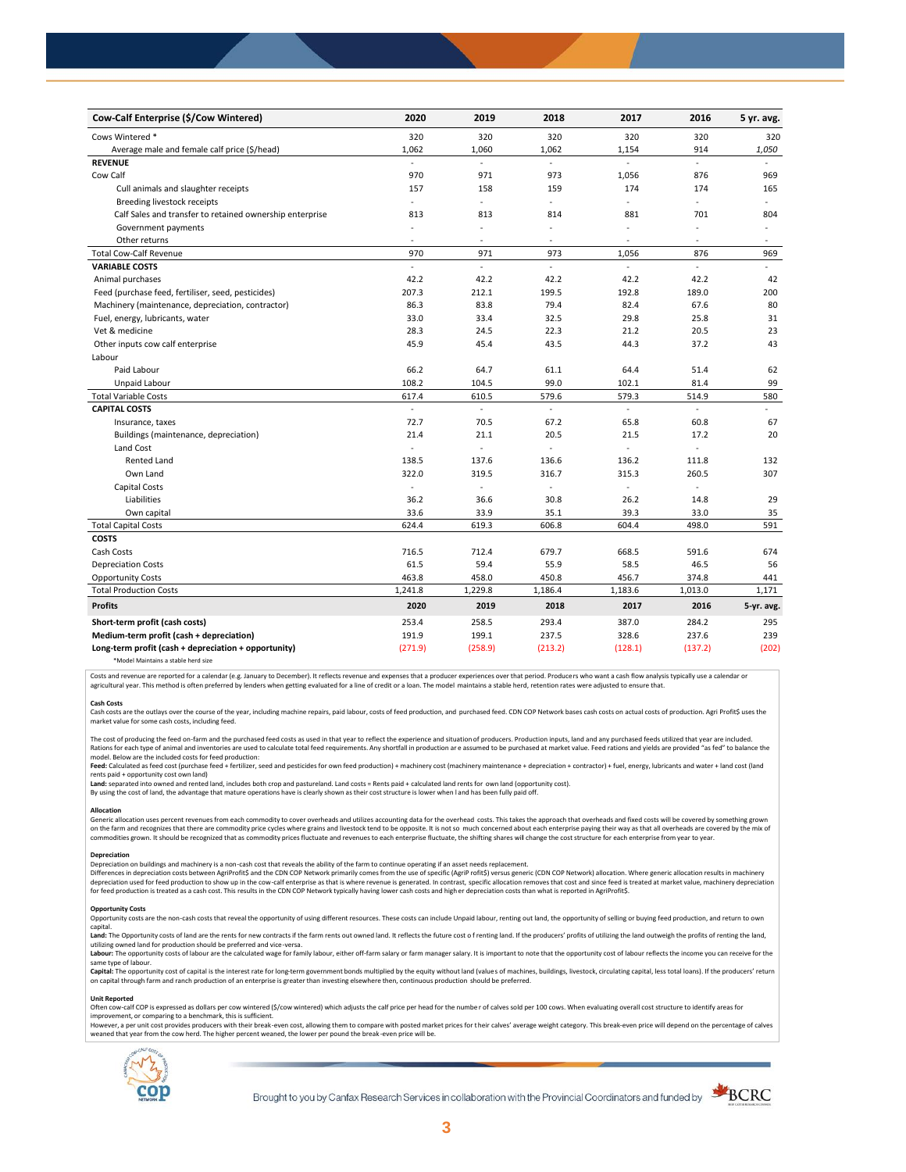| Cow-Calf Enterprise (\$/Cow Wintered)                    | 2020           | 2019    | 2018           | 2017                     | 2016                     | 5 yr. avg.               |
|----------------------------------------------------------|----------------|---------|----------------|--------------------------|--------------------------|--------------------------|
| Cows Wintered *                                          | 320            | 320     | 320            | 320                      | 320                      | 320                      |
| Average male and female calf price (\$/head)             | 1,062          | 1,060   | 1,062          | 1,154                    | 914                      | 1,050                    |
| <b>REVENUE</b>                                           | $\blacksquare$ | L.      | L.             |                          | $\blacksquare$           |                          |
| Cow Calf                                                 | 970            | 971     | 973            | 1,056                    | 876                      | 969                      |
| Cull animals and slaughter receipts                      | 157            | 158     | 159            | 174                      | 174                      | 165                      |
| Breeding livestock receipts                              | ÷.             | ä,      | ÷.             | ä,                       | ÷,                       | ÷                        |
| Calf Sales and transfer to retained ownership enterprise | 813            | 813     | 814            | 881                      | 701                      | 804                      |
| Government payments                                      | $\sim$         | ÷,      | ÷,             | $\sim$                   | ÷,                       | $\overline{\phantom{a}}$ |
| Other returns                                            | $\overline{a}$ | ٠       | $\overline{a}$ | $\overline{\phantom{a}}$ | ÷,                       | $\sim$                   |
| <b>Total Cow-Calf Revenue</b>                            | 970            | 971     | 973            | 1,056                    | 876                      | 969                      |
| <b>VARIABLE COSTS</b>                                    | L.             | L.      | ä,             | ä,                       | $\overline{\phantom{a}}$ | $\sim$                   |
| Animal purchases                                         | 42.2           | 42.2    | 42.2           | 42.2                     | 42.2                     | 42                       |
| Feed (purchase feed, fertiliser, seed, pesticides)       | 207.3          | 212.1   | 199.5          | 192.8                    | 189.0                    | 200                      |
| Machinery (maintenance, depreciation, contractor)        | 86.3           | 83.8    | 79.4           | 82.4                     | 67.6                     | 80                       |
| Fuel, energy, lubricants, water                          | 33.0           | 33.4    | 32.5           | 29.8                     | 25.8                     | 31                       |
| Vet & medicine                                           | 28.3           | 24.5    | 22.3           | 21.2                     | 20.5                     | 23                       |
| Other inputs cow calf enterprise                         | 45.9           | 45.4    | 43.5           | 44.3                     | 37.2                     | 43                       |
| Labour                                                   |                |         |                |                          |                          |                          |
| Paid Labour                                              | 66.2           | 64.7    | 61.1           | 64.4                     | 51.4                     | 62                       |
| Unpaid Labour                                            | 108.2          | 104.5   | 99.0           | 102.1                    | 81.4                     | 99                       |
| <b>Total Variable Costs</b>                              | 617.4          | 610.5   | 579.6          | 579.3                    | 514.9                    | 580                      |
| <b>CAPITAL COSTS</b>                                     |                |         |                |                          |                          |                          |
| Insurance, taxes                                         | 72.7           | 70.5    | 67.2           | 65.8                     | 60.8                     | 67                       |
| Buildings (maintenance, depreciation)                    | 21.4           | 21.1    | 20.5           | 21.5                     | 17.2                     | 20                       |
| Land Cost                                                | ÷.             | ÷,      |                |                          |                          |                          |
| <b>Rented Land</b>                                       | 138.5          | 137.6   | 136.6          | 136.2                    | 111.8                    | 132                      |
| Own Land                                                 | 322.0          | 319.5   | 316.7          | 315.3                    | 260.5                    | 307                      |
| Capital Costs                                            | L.             | ÷,      | L.             | $\blacksquare$           | ÷.                       |                          |
| Liabilities                                              | 36.2           | 36.6    | 30.8           | 26.2                     | 14.8                     | 29                       |
| Own capital                                              | 33.6           | 33.9    | 35.1           | 39.3                     | 33.0                     | 35                       |
| <b>Total Capital Costs</b>                               | 624.4          | 619.3   | 606.8          | 604.4                    | 498.0                    | 591                      |
| <b>COSTS</b>                                             |                |         |                |                          |                          |                          |
| Cash Costs                                               | 716.5          | 712.4   | 679.7          | 668.5                    | 591.6                    | 674                      |
| <b>Depreciation Costs</b>                                | 61.5           | 59.4    | 55.9           | 58.5                     | 46.5                     | 56                       |
| <b>Opportunity Costs</b>                                 | 463.8          | 458.0   | 450.8          | 456.7                    | 374.8                    | 441                      |
| <b>Total Production Costs</b>                            | 1,241.8        | 1,229.8 | 1,186.4        | 1,183.6                  | 1,013.0                  | 1,171                    |
| <b>Profits</b>                                           | 2020           | 2019    | 2018           | 2017                     | 2016                     | 5-yr. avg.               |
| Short-term profit (cash costs)                           | 253.4          | 258.5   | 293.4          | 387.0                    | 284.2                    | 295                      |
| Medium-term profit (cash + depreciation)                 | 191.9          | 199.1   | 237.5          | 328.6                    | 237.6                    | 239                      |
| Long-term profit (cash + depreciation + opportunity)     | (271.9)        | (258.9) | (213.2)        | (128.1)                  | (137.2)                  | (202)                    |
|                                                          |                |         |                |                          |                          |                          |

\*Model Maintains a stable herd size

Costs and revenue are reported for a calendar (e.g. January to December). It reflects revenue and expenses that a producer experiences over that period. Producers who want a cash flow analysis typically use a calendar or agricultural year. This method is often preferred by lenders when getting evaluated for a line of credit or a loan. The model maintains a stable herd, retention rates were adjusted to ensure that

C<mark>ash Costs</mark><br>Cash costs are the outlays over the course of the year, including machine repairs, paid labour, costs of feed production, and purchased feed. CDN COP Network bases cash costs on actual costs of production. Agr market value for some cash costs, including feed.

The cost of producing the feed on-farm and the purchased feed costs as used in that year to reflect the experience and situation of producers. Production inputs, land and any purchased feeds utilized that year are included model. Below are the included costs for feed production:

moder.outwhat was made used to receip would continuour.<br>**Feed:** Calculated as feed cost (purchase feed + fertilizer, seed and pesticides for own feed production) + machinery cost (machinery maintenance + depreciation + con rents paid + opportunity cost own land)

**Land:** separated into owned and rented land, includes both crop and pastureland. Land costs = Rents paid + calculated land rents for own land (opportunity cost).

By using the cost of land, the advantage that mature operations have is clearly shown as their cost structure is lower when l and has been fully paid off.

#### **Allocation**

Generic allocation uses percent revenues from each commodity to cover overheads and utilizes accounting data for the overhead costs. This takes the approach that overheads and fixed costs will be covered by something grown commodities grown. It should be recognized that as commodity prices fluctuate and revenues to each enterprise fluctuate, the shifting shares will change the cost structure for each enterprise from year to year.

## **Depreciation**

Depreciation on buildings and machinery is a non-cash cost that reveals the ability of the farm to continue operating if an asset needs replacement. Differences in depreciation costs between AgriProfit\$ and the CDN COP Network primarily comes from the use of specific (AgriP rofit\$) versus generic (CDN COP Network) allocation. Where generic allocation results in machine

#### **Opportunity Costs**

Provincing COSS are the non-cash costs that reveal the opportunity of using different resources. These costs can include Unpaid labour, renting out land, the opportunity of selling or buying feed production, and return to capital.

required.<br>Land: The Opportunity costs of land are the rents for new contracts if the farm rents out owned land. It reflects the future cost of renting land. If the producers' profits of utilizing the land outweigh the prof utilizing owned land for production should be preferred and vice-versa.<br>**Labour:** The opportunity costs of labour are the calculated wage for family labour, either off-farm salary or farm manager salary. It is important to

same type of labour.

**Capita**l: The opportunity cost of capital is the interest rate for long-term government bonds multiplied by the equity without land (values of machines, buildings, livestock, circulating capital, less total loans). If the

#### **Unit Reported**

Often cow-calf COP is expressed as dollars per cow wintered (\$/cow wintered) which adjusts the calf price per head for the number of calves sold per 100 cows. When evaluating overall cost structure to identify areas for<br>im

however..export of the structure with the structure of the break-even cost. allowing them to compare with posted market prices for their calves' average weight category. This break-even price will depend on the percentage weaned that year from the cow herd. The higher percent weaned, the lower per pound the break -even price will be.



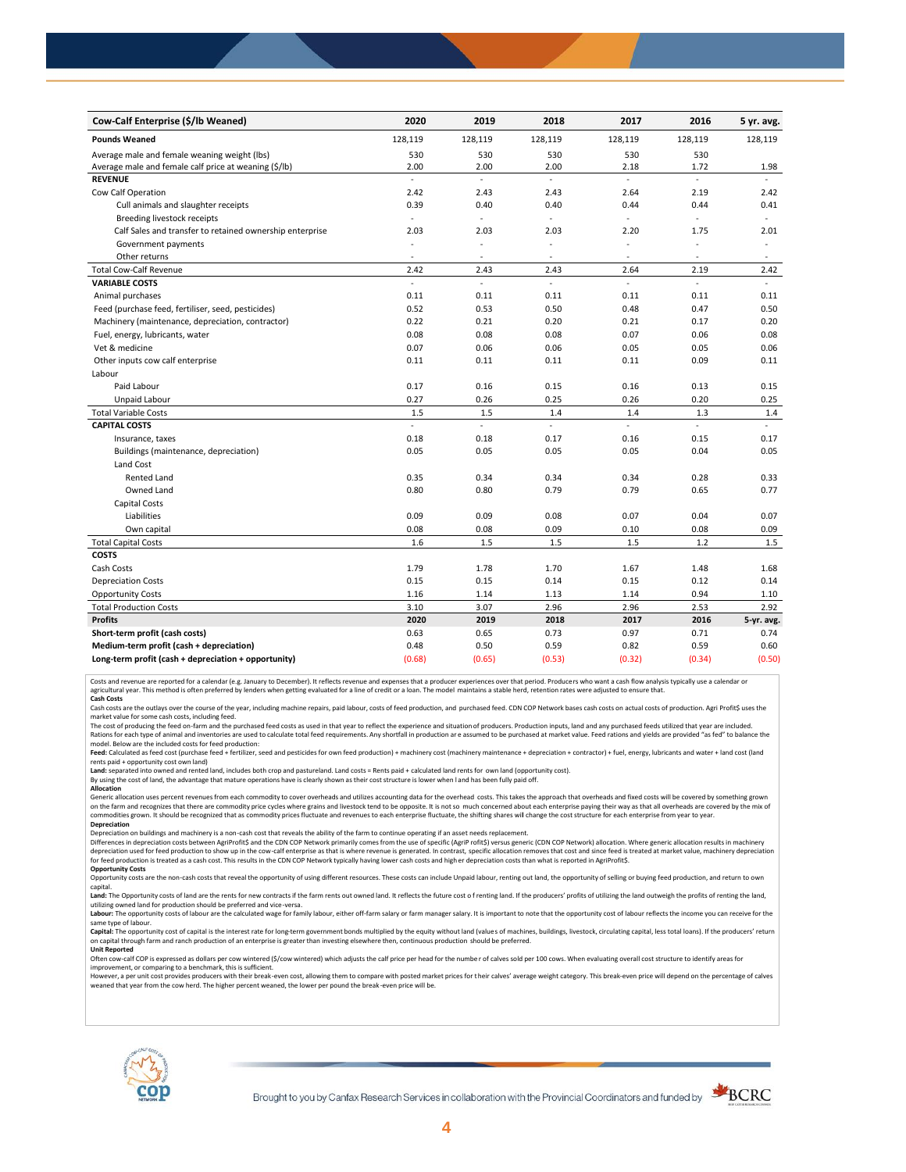| Cow-Calf Enterprise (\$/lb Weaned)                       | 2020                     | 2019                     | 2018    | 2017                     | 2016           | 5 yr. avg.               |
|----------------------------------------------------------|--------------------------|--------------------------|---------|--------------------------|----------------|--------------------------|
| <b>Pounds Weaned</b>                                     | 128,119                  | 128,119                  | 128,119 | 128,119                  | 128,119        | 128,119                  |
| Average male and female weaning weight (lbs)             | 530                      | 530                      | 530     | 530                      | 530            |                          |
| Average male and female calf price at weaning (\$/lb)    | 2.00                     | 2.00                     | 2.00    | 2.18                     | 1.72           | 1.98                     |
| <b>REVENUE</b>                                           | $\overline{\phantom{a}}$ | L.                       | ä,      | ÷.                       | ä,             |                          |
| Cow Calf Operation                                       | 2.42                     | 2.43                     | 2.43    | 2.64                     | 2.19           | 2.42                     |
| Cull animals and slaughter receipts                      | 0.39                     | 0.40                     | 0.40    | 0.44                     | 0.44           | 0.41                     |
| Breeding livestock receipts                              | $\overline{\phantom{a}}$ | $\blacksquare$           | ÷,      | $\blacksquare$           | $\overline{a}$ | $\omega$                 |
| Calf Sales and transfer to retained ownership enterprise | 2.03                     | 2.03                     | 2.03    | 2.20                     | 1.75           | 2.01                     |
| Government payments                                      |                          | ÷,                       | ä,      | ÷,                       | ÷,             | $\overline{\phantom{a}}$ |
| Other returns                                            | $\overline{\phantom{a}}$ | $\overline{\phantom{a}}$ | ٠       | $\overline{\phantom{a}}$ | $\sim$         | $\sim$                   |
| <b>Total Cow-Calf Revenue</b>                            | 2.42                     | 2.43                     | 2.43    | 2.64                     | 2.19           | 2.42                     |
| <b>VARIABLE COSTS</b>                                    | $\overline{a}$           | ä,                       | L.      | L.                       | L.             | $\mathbf{r}$             |
| Animal purchases                                         | 0.11                     | 0.11                     | 0.11    | 0.11                     | 0.11           | 0.11                     |
| Feed (purchase feed, fertiliser, seed, pesticides)       | 0.52                     | 0.53                     | 0.50    | 0.48                     | 0.47           | 0.50                     |
| Machinery (maintenance, depreciation, contractor)        | 0.22                     | 0.21                     | 0.20    | 0.21                     | 0.17           | 0.20                     |
| Fuel, energy, lubricants, water                          | 0.08                     | 0.08                     | 0.08    | 0.07                     | 0.06           | 0.08                     |
| Vet & medicine                                           | 0.07                     | 0.06                     | 0.06    | 0.05                     | 0.05           | 0.06                     |
| Other inputs cow calf enterprise                         | 0.11                     | 0.11                     | 0.11    | 0.11                     | 0.09           | 0.11                     |
| Labour                                                   |                          |                          |         |                          |                |                          |
| Paid Labour                                              | 0.17                     | 0.16                     | 0.15    | 0.16                     | 0.13           | 0.15                     |
| Unpaid Labour                                            | 0.27                     | 0.26                     | 0.25    | 0.26                     | 0.20           | 0.25                     |
| <b>Total Variable Costs</b>                              | 1.5                      | 1.5                      | 1.4     | 1.4                      | 1.3            | 1.4                      |
| <b>CAPITAL COSTS</b>                                     | ÷.                       | ä,                       | ÷.      | u.                       | ÷.             | u.                       |
| Insurance, taxes                                         | 0.18                     | 0.18                     | 0.17    | 0.16                     | 0.15           | 0.17                     |
| Buildings (maintenance, depreciation)                    | 0.05                     | 0.05                     | 0.05    | 0.05                     | 0.04           | 0.05                     |
| Land Cost                                                |                          |                          |         |                          |                |                          |
| <b>Rented Land</b>                                       | 0.35                     | 0.34                     | 0.34    | 0.34                     | 0.28           | 0.33                     |
| Owned Land                                               | 0.80                     | 0.80                     | 0.79    | 0.79                     | 0.65           | 0.77                     |
| <b>Capital Costs</b>                                     |                          |                          |         |                          |                |                          |
| Liabilities                                              | 0.09                     | 0.09                     | 0.08    | 0.07                     | 0.04           | 0.07                     |
| Own capital                                              | 0.08                     | 0.08                     | 0.09    | 0.10                     | 0.08           | 0.09                     |
| <b>Total Capital Costs</b>                               | 1.6                      | 1.5                      | 1.5     | 1.5                      | 1.2            | 1.5                      |
| <b>COSTS</b>                                             |                          |                          |         |                          |                |                          |
| Cash Costs                                               | 1.79                     | 1.78                     | 1.70    | 1.67                     | 1.48           | 1.68                     |
| <b>Depreciation Costs</b>                                | 0.15                     | 0.15                     | 0.14    | 0.15                     | 0.12           | 0.14                     |
| <b>Opportunity Costs</b>                                 | 1.16                     | 1.14                     | 1.13    | 1.14                     | 0.94           | 1.10                     |
| <b>Total Production Costs</b>                            | 3.10                     | 3.07                     | 2.96    | 2.96                     | 2.53           | 2.92                     |
| <b>Profits</b>                                           | 2020                     | 2019                     | 2018    | 2017                     | 2016           | 5-yr. avg.               |
| Short-term profit (cash costs)                           | 0.63                     | 0.65                     | 0.73    | 0.97                     | 0.71           | 0.74                     |
| Medium-term profit (cash + depreciation)                 | 0.48                     | 0.50                     | 0.59    | 0.82                     | 0.59           | 0.60                     |
| Long-term profit (cash + depreciation + opportunity)     | (0.68)                   | (0.65)                   | (0.53)  | (0.32)                   | (0.34)         | (0.50)                   |

Costs and revenue are reported for a calendar (e.g. January to December). It reflects revenue and expenses that a producer experiences over that period. Producers who want a cash flow analysis typically use a calendar or<br>a

cash costs are the outlays over the course of the year, including machine repairs, paid labour, costs of feed production, and purchased feed. CDN COP Network bases cash costs on actual costs of production. Agri Profit\$ use

market value for some cash costs, including feed.

The cost of producing the feed on-farm and the purchased feed costs as used in that year to reflect the experience and situation of producers. Production inputs, land and any purchased feeds utilized that year are included model. Below are the included costs for feed production:

Feed: Calculated as feed cost (purchase feed + fertilizer, seed and pesticides for own feed production) + machinery cost (machinery maintenance + depreciation + contractor) + fuel, energy, lubricants and water + land cost

Land: separated into owned and rented land, includes both crop and pastureland. Land costs = Rents paid + calculated land rents for own land (opportunity cost).

By using the cost of land, the advantage that mature operations have is clearly shown as their cost structure is lower when l and has been fully paid off.

**Allocation**

Generic allocation uses percent revenues from each commodity to cover overheads and utilizes accounting data for the overhead costs. This takes the approach that overheads and fixed costs will be covered by something grown on the farm and recognizes that there are commodity price cycles where grains and livestock tend to be opposite. It is not so much concerned about each enterprise paying their way as that all overheads are covered by the m **Depreciation**

Depreciation on buildings and machinery is a non-cash cost that reveals the ability of the farm to continue operating if an asset needs replacement.

Differences in depreciation costs between AgriProfit\$ and the CDN COP Network primarily comes from the use of specific (AgriP rofit\$) versus generic (CDN COP Network) allocation. Where generic allocation results in machine

### **Opportunity Costs**

Opportunity costs are the non-cash costs that reveal the opportunity of using different resources. These costs can include Unpaid labour, renting out land, the opportunity of selling or buying feed production, and return t Land: The Opportunity costs of land are the rents for new contracts if the farm rents out owned land. It reflects the future cost of renting land. If the producers' profits of utilizing the land outweigh the profits of ren

utilizing owned land for production should be preferred and vice-versa.<br>**Labour:** The opportunity costs of labour are the calculated wage for family labour, either off-farm salary or farm manager salary. It is important to same type of labour.

Capital: The opportunity cost of capital is the interest rate for long-term government bonds multiplied by the equity without land (values of machines, buildings, livestock, circulating capital, less total loans). If the p on capital through farm and ranch production of an enterprise is greater than investing elsewhere then, continuous production should be preferred. **Unit Reported**

Often cow-calf COP is expressed as dollars per cow wintered (\$/cow wintered) which adjusts the calf price per head for the numbe r of calves sold per 100 cows. When evaluating overall cost structure to identify areas for

improvement, or comparing to a benchmark, this is sufficient.<br>However, a per unit cost provides producers with their break-even cost, allowing them to compare with posted market prices for their calves' average weight cate weaned that year from the cow herd. The higher percent weaned, the lower per pound the break -even price will be.



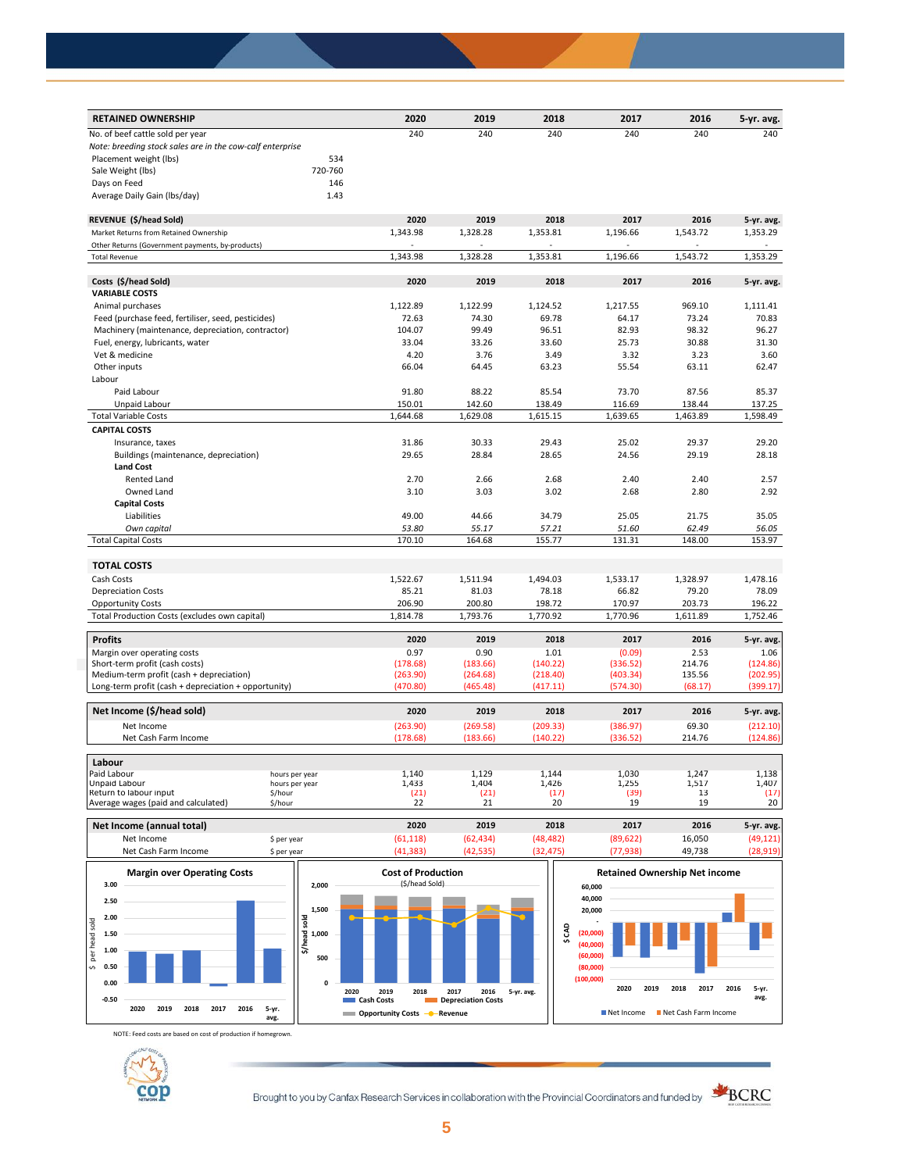| <b>RETAINED OWNERSHIP</b>                                 |         | 2020     | 2019     | 2018     | 2017     | 2016     | 5-yr. avg. |
|-----------------------------------------------------------|---------|----------|----------|----------|----------|----------|------------|
| No. of beef cattle sold per year                          |         | 240      | 240      | 240      | 240      | 240      | 240        |
| Note: breeding stock sales are in the cow-calf enterprise |         |          |          |          |          |          |            |
| Placement weight (lbs)                                    | 534     |          |          |          |          |          |            |
| Sale Weight (lbs)                                         | 720-760 |          |          |          |          |          |            |
| Days on Feed                                              | 146     |          |          |          |          |          |            |
| Average Daily Gain (Ibs/day)                              | 1.43    |          |          |          |          |          |            |
| REVENUE (\$/head Sold)                                    |         | 2020     | 2019     | 2018     | 2017     | 2016     | 5-yr. avg. |
| Market Returns from Retained Ownership                    |         | 1,343.98 | 1,328.28 | 1,353.81 | 1,196.66 | 1,543.72 | 1,353.29   |
| Other Returns (Government payments, by-products)          |         |          |          |          |          |          |            |
| <b>Total Revenue</b>                                      |         | 1,343.98 | 1,328.28 | 1,353.81 | 1,196.66 | 1,543.72 | 1,353.29   |
|                                                           |         |          |          |          |          |          |            |
| Costs (\$/head Sold)                                      |         | 2020     | 2019     | 2018     | 2017     | 2016     | 5-yr. avg. |
| <b>VARIABLE COSTS</b>                                     |         |          |          |          |          |          |            |
| Animal purchases                                          |         | 1,122.89 | 1,122.99 | 1,124.52 | 1,217.55 | 969.10   | 1,111.41   |
| Feed (purchase feed, fertiliser, seed, pesticides)        |         | 72.63    | 74.30    | 69.78    | 64.17    | 73.24    | 70.83      |
| Machinery (maintenance, depreciation, contractor)         |         | 104.07   | 99.49    | 96.51    | 82.93    | 98.32    | 96.27      |
| Fuel, energy, lubricants, water                           |         | 33.04    | 33.26    | 33.60    | 25.73    | 30.88    | 31.30      |
| Vet & medicine                                            |         | 4.20     | 3.76     | 3.49     | 3.32     | 3.23     | 3.60       |
| Other inputs                                              |         | 66.04    | 64.45    | 63.23    | 55.54    | 63.11    | 62.47      |
| Labour                                                    |         |          |          |          |          |          |            |
| Paid Labour                                               |         | 91.80    | 88.22    | 85.54    | 73.70    | 87.56    | 85.37      |
| Unpaid Labour                                             |         | 150.01   | 142.60   | 138.49   | 116.69   | 138.44   | 137.25     |
| <b>Total Variable Costs</b>                               |         | 1,644.68 | 1,629.08 | 1,615.15 | 1,639.65 | 1,463.89 | 1,598.49   |
| <b>CAPITAL COSTS</b>                                      |         |          |          |          |          |          |            |
| Insurance, taxes                                          |         | 31.86    | 30.33    | 29.43    | 25.02    | 29.37    | 29.20      |
| Buildings (maintenance, depreciation)                     |         | 29.65    | 28.84    | 28.65    | 24.56    | 29.19    | 28.18      |
| <b>Land Cost</b>                                          |         |          |          |          |          |          |            |
| <b>Rented Land</b>                                        |         | 2.70     | 2.66     | 2.68     | 2.40     | 2.40     | 2.57       |
| Owned Land                                                |         | 3.10     | 3.03     | 3.02     | 2.68     | 2.80     | 2.92       |
| <b>Capital Costs</b>                                      |         |          |          |          |          |          |            |
| Liabilities                                               |         | 49.00    | 44.66    | 34.79    | 25.05    | 21.75    | 35.05      |
| Own capital                                               |         | 53.80    | 55.17    | 57.21    | 51.60    | 62.49    | 56.05      |
| <b>Total Capital Costs</b>                                |         | 170.10   | 164.68   | 155.77   | 131.31   | 148.00   | 153.97     |
|                                                           |         |          |          |          |          |          |            |
| <b>TOTAL COSTS</b><br>Cash Costs                          |         |          |          |          |          |          |            |
|                                                           |         | 1,522.67 | 1,511.94 | 1,494.03 | 1,533.17 | 1,328.97 | 1,478.16   |
| <b>Depreciation Costs</b>                                 |         | 85.21    | 81.03    | 78.18    | 66.82    | 79.20    | 78.09      |
| <b>Opportunity Costs</b>                                  |         | 206.90   | 200.80   | 198.72   | 170.97   | 203.73   | 196.22     |
| Total Production Costs (excludes own capital)             |         | 1.814.78 | 1,793.76 | 1,770.92 | 1,770.96 | 1.611.89 | 1,752.46   |
| <b>Profits</b>                                            |         | 2020     | 2019     | 2018     | 2017     | 2016     | 5-yr. avg. |
| Margin over operating costs                               |         | 0.97     | 0.90     | 1.01     | (0.09)   | 2.53     | 1.06       |
| Short-term profit (cash costs)                            |         | (178.68) | (183.66) | (140.22) | (336.52) | 214.76   | (124.86)   |
| Medium-term profit (cash + depreciation)                  |         | (263.90) | (264.68) | (218.40) | (403.34) | 135.56   | (202.95)   |
| Long-term profit (cash + depreciation + opportunity)      |         | (470.80) | (465.48) | (417.11) | (574.30) | (68.17)  | (399.17)   |
| Net Income (\$/head sold)                                 |         | 2020     | 2019     | 2018     | 2017     | 2016     | 5-yr. avg. |
| Net Income                                                |         | (263.90) | (269.58) | (209.33) | (386.97) | 69.30    | (212.10)   |
| Net Cash Farm Income                                      |         | (178.68) | (183.66) | (140.22) | (336.52) | 214.76   | (124.86)   |
| Labour                                                    |         |          |          |          |          |          |            |
| Paid Labour<br>hours per year                             |         | 1,140    | 1,129    | 1.144    | 1,030    | 1.247    | 1,138      |
| <b>Unpaid Labour</b><br>hours per year                    |         | 1,433    | 1,404    | 1,426    | 1,255    | 1,517    | 1,407      |
| Return to labour input<br>\$/hour                         |         | (21)     | (21)     | (17)     | (39)     | 13       | (17)       |
| Average wages (paid and calculated)<br>\$/hour            |         | 22       | 21       | 20       | 19       | 19       | 20         |

**Net Income (annual total) 2020 2019 2018 2017 2016 5-yr. avg.** Net Income \$ per year (61,118) (62,434) (48,482) (89,622) 16,050 (49,121) Net Cash Farm Income \$ per year (41,383) (42,535) (32,475) (77,938) 49,738 (28,919)



NOTE: Feed costs are based on cost of production if homegrown.



Brought to you by Canfax Research Services in collaboration with the Provincial Coordinators and funded by



**avg.**